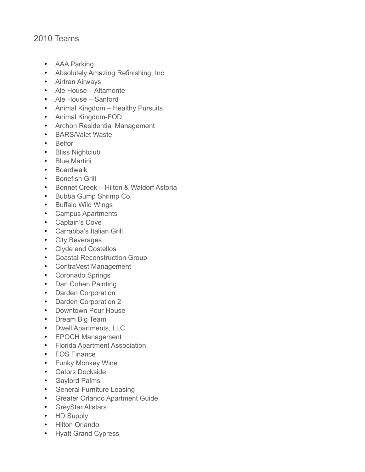## 2010 Teams

- AAA Parking
- Absolutely Amazing Refinishing, Inc
- Airtran Airways
- Ale House Altamonte
- Ale House Sanford
- Animal Kingdom Healthy Pursuits
- Animal Kingdom-FOD
- Archon Residential Management
- BARS/Valet Waste
- Belfor
- Bliss Nightclub
- Blue Martini
- Boardwalk
- Bonefish Grill
- Bonnet Creek Hilton & Waldorf Astoria
- Bubba Gump Shrimp Co.
- Buffalo Wild Wings
- Campus Apartments
- Captain's Cove
- Carrabba's Italian Grill
- City Beverages
- Clyde and Costellos
- Coastal Reconstruction Group
- ContraVest Management
- Coronado Springs
- Dan Cohen Painting
- Darden Corporation
- Darden Corporation 2
- Downtown Pour House
- Dream Big Team
- Dwell Apartments, LLC
- EPOCH Management
- Florida Apartment Association
- FOS Finance
- Funky Monkey Wine
- Gators Dockside
- Gaylord Palms
- General Furniture Leasing
- Greater Orlando Apartment Guide
- GreyStar Allstars
- HD Supply
- Hilton Orlando
- Hyatt Grand Cypress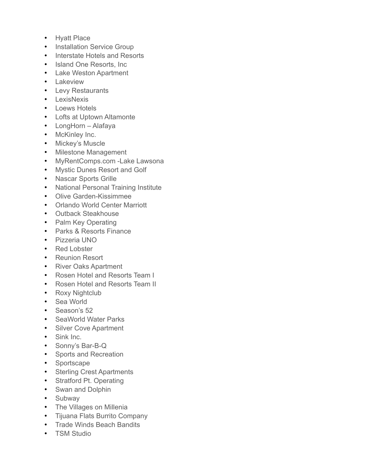- Hyatt Place
- Installation Service Group
- Interstate Hotels and Resorts
- Island One Resorts, Inc.
- Lake Weston Apartment
- Lakeview
- Levy Restaurants
- LexisNexis
- Loews Hotels
- Lofts at Uptown Altamonte
- LongHorn Alafaya
- McKinley Inc.
- Mickey's Muscle
- Milestone Management
- MyRentComps.com -Lake Lawsona
- Mystic Dunes Resort and Golf
- Nascar Sports Grille
- National Personal Training Institute
- Olive Garden-Kissimmee
- Orlando World Center Marriott
- Outback Steakhouse
- Palm Key Operating
- Parks & Resorts Finance
- Pizzeria UNO
- Red Lobster
- Reunion Resort
- River Oaks Apartment
- Rosen Hotel and Resorts Team I
- Rosen Hotel and Resorts Team II
- Roxy Nightclub
- Sea World
- Season's 52
- SeaWorld Water Parks
- Silver Cove Apartment
- Sink Inc.
- Sonny's Bar-B-Q
- Sports and Recreation
- Sportscape
- Sterling Crest Apartments
- Stratford Pt. Operating
- Swan and Dolphin
- Subway
- The Villages on Millenia
- Tijuana Flats Burrito Company
- Trade Winds Beach Bandits
- TSM Studio